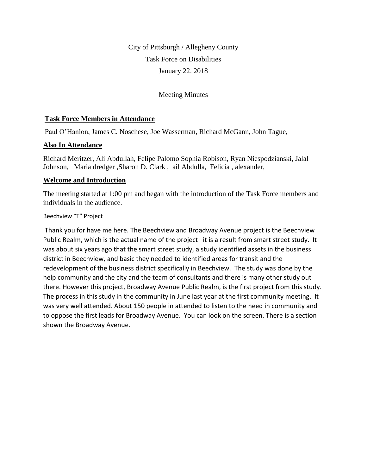City of Pittsburgh / Allegheny County Task Force on Disabilities January 22. 2018

Meeting Minutes

## **Task Force Members in Attendance**

Paul O'Hanlon, James C. Noschese, Joe Wasserman, Richard McGann, John Tague,

## **Also In Attendance**

Richard Meritzer, Ali Abdullah, Felipe Palomo Sophia Robison, Ryan Niespodzianski, Jalal Johnson, Maria dredger ,Sharon D. Clark , ail Abdulla, Felicia , alexander,

## **Welcome and Introduction**

The meeting started at 1:00 pm and began with the introduction of the Task Force members and individuals in the audience.

#### Beechview "T" Project

Thank you for have me here. The Beechview and Broadway Avenue project is the Beechview Public Realm, which is the actual name of the project it is a result from smart street study. It was about six years ago that the smart street study, a study identified assets in the business district in Beechview, and basic they needed to identified areas for transit and the redevelopment of the business district specifically in Beechview. The study was done by the help community and the city and the team of consultants and there is many other study out there. However this project, Broadway Avenue Public Realm, is the first project from this study. The process in this study in the community in June last year at the first community meeting. It was very well attended. About 150 people in attended to listen to the need in community and to oppose the first leads for Broadway Avenue. You can look on the screen. There is a section shown the Broadway Avenue.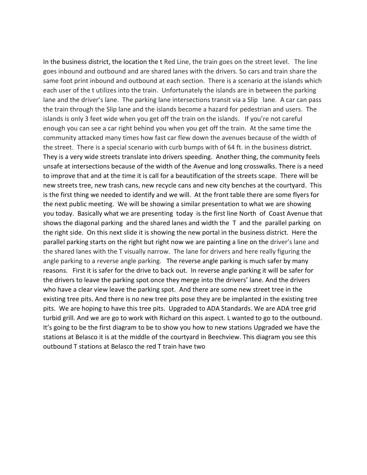In the business district, the location the t Red Line, the train goes on the street level. The line goes inbound and outbound and are shared lanes with the drivers. So cars and train share the same foot print inbound and outbound at each section. There is a scenario at the islands which each user of the t utilizes into the train. Unfortunately the islands are in between the parking lane and the driver's lane. The parking lane intersections transit via a Slip lane. A car can pass the train through the Slip lane and the islands become a hazard for pedestrian and users. The islands is only 3 feet wide when you get off the train on the islands. If you're not careful enough you can see a car right behind you when you get off the train. At the same time the community attacked many times how fast car flew down the avenues because of the width of the street. There is a special scenario with curb bumps with of 64 ft. in the business district. They is a very wide streets translate into drivers speeding. Another thing, the community feels unsafe at intersections because of the width of the Avenue and long crosswalks. There is a need to improve that and at the time it is call for a beautification of the streets scape. There will be new streets tree, new trash cans, new recycle cans and new city benches at the courtyard. This is the first thing we needed to identify and we will. At the front table there are some flyers for the next public meeting. We will be showing a similar presentation to what we are showing you today. Basically what we are presenting today is the first line North of Coast Avenue that shows the diagonal parking and the shared lanes and width the T and the parallel parking on the right side. On this next slide it is showing the new portal in the business district. Here the parallel parking starts on the right but right now we are painting a line on the driver's lane and the shared lanes with the T visually narrow. The lane for drivers and here really figuring the angle parking to a reverse angle parking. The reverse angle parking is much safer by many reasons. First it is safer for the drive to back out. In reverse angle parking it will be safer for the drivers to leave the parking spot once they merge into the drivers' lane. And the drivers who have a clear view leave the parking spot. And there are some new street tree in the existing tree pits. And there is no new tree pits pose they are be implanted in the existing tree pits. We are hoping to have this tree pits. Upgraded to ADA Standards. We are ADA tree grid turbid grill. And we are go to work with Richard on this aspect. L wanted to go to the outbound. It's going to be the first diagram to be to show you how to new stations Upgraded we have the stations at Belasco it is at the middle of the courtyard in Beechview. This diagram you see this outbound T stations at Belasco the red T train have two